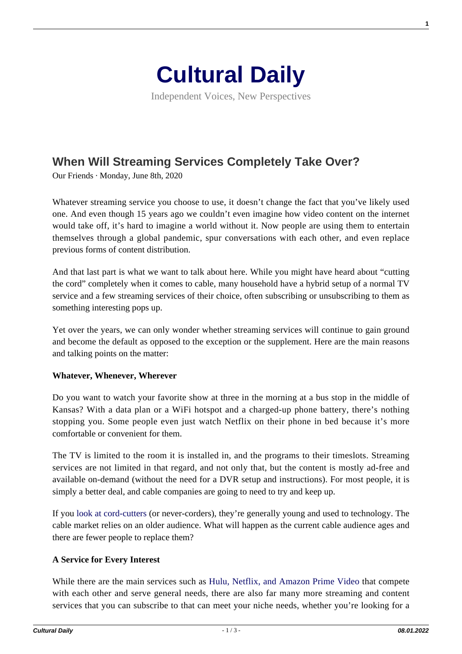

Independent Voices, New Perspectives

# **[When Will Streaming Services Completely Take Over?](https://culturaldaily.com/when-will-streaming-services-completely-take-over/)**

Our Friends · Monday, June 8th, 2020

Whatever streaming service you choose to use, it doesn't change the fact that you've likely used one. And even though 15 years ago we couldn't even imagine how video content on the internet would take off, it's hard to imagine a world without it. Now people are using them to entertain themselves through a global pandemic, spur conversations with each other, and even replace previous forms of content distribution.

And that last part is what we want to talk about here. While you might have heard about "cutting the cord" completely when it comes to cable, many household have a hybrid setup of a normal TV service and a few streaming services of their choice, often subscribing or unsubscribing to them as something interesting pops up.

Yet over the years, we can only wonder whether streaming services will continue to gain ground and become the default as opposed to the exception or the supplement. Here are the main reasons and talking points on the matter:

#### **Whatever, Whenever, Wherever**

Do you want to watch your favorite show at three in the morning at a bus stop in the middle of Kansas? With a data plan or a WiFi hotspot and a charged-up phone battery, there's nothing stopping you. Some people even just watch Netflix on their phone in bed because it's more comfortable or convenient for them.

The TV is limited to the room it is installed in, and the programs to their timeslots. Streaming services are not limited in that regard, and not only that, but the content is mostly ad-free and available on-demand (without the need for a DVR setup and instructions). For most people, it is simply a better deal, and cable companies are going to need to try and keep up.

If you [look at cord-cutters](https://www.forbes.com/sites/tonifitzgerald/2019/06/29/portrait-of-a-cord-cutter-whos-doing-it-and-why/#ab1814d163f7) (or never-corders), they're generally young and used to technology. The cable market relies on an older audience. What will happen as the current cable audience ages and there are fewer people to replace them?

#### **A Service for Every Interest**

While there are the main services such as [Hulu, Netflix, and Amazon Prime Video](https://www.internetadvisor.com/streaming-services-comparison-netflix-amazon-hulu) that compete with each other and serve general needs, there are also far many more streaming and content services that you can subscribe to that can meet your niche needs, whether you're looking for a

**1**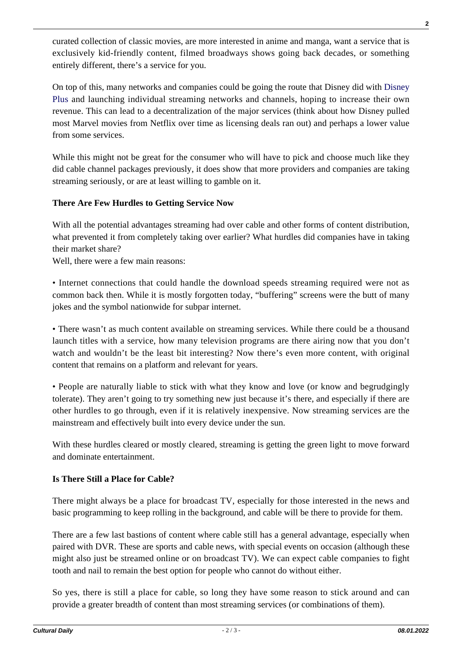curated collection of classic movies, are more interested in anime and manga, want a service that is exclusively kid-friendly content, filmed broadways shows going back decades, or something entirely different, there's a service for you.

On top of this, many networks and companies could be going the route that Disney did with [Disney](https://variety.com/2019/digital/news/disney-says-disney-plus-has-over-10-million-signups-1203403515/) [Plus](https://variety.com/2019/digital/news/disney-says-disney-plus-has-over-10-million-signups-1203403515/) and launching individual streaming networks and channels, hoping to increase their own revenue. This can lead to a decentralization of the major services (think about how Disney pulled most Marvel movies from Netflix over time as licensing deals ran out) and perhaps a lower value from some services.

While this might not be great for the consumer who will have to pick and choose much like they did cable channel packages previously, it does show that more providers and companies are taking streaming seriously, or are at least willing to gamble on it.

## **There Are Few Hurdles to Getting Service Now**

With all the potential advantages streaming had over cable and other forms of content distribution, what prevented it from completely taking over earlier? What hurdles did companies have in taking their market share?

Well, there were a few main reasons:

• Internet connections that could handle the download speeds streaming required were not as common back then. While it is mostly forgotten today, "buffering" screens were the butt of many jokes and the symbol nationwide for subpar internet.

• There wasn't as much content available on streaming services. While there could be a thousand launch titles with a service, how many television programs are there airing now that you don't watch and wouldn't be the least bit interesting? Now there's even more content, with original content that remains on a platform and relevant for years.

• People are naturally liable to stick with what they know and love (or know and begrudgingly tolerate). They aren't going to try something new just because it's there, and especially if there are other hurdles to go through, even if it is relatively inexpensive. Now streaming services are the mainstream and effectively built into every device under the sun.

With these hurdles cleared or mostly cleared, streaming is getting the green light to move forward and dominate entertainment.

## **Is There Still a Place for Cable?**

There might always be a place for broadcast TV, especially for those interested in the news and basic programming to keep rolling in the background, and cable will be there to provide for them.

There are a few last bastions of content where cable still has a general advantage, especially when paired with DVR. These are sports and cable news, with special events on occasion (although these might also just be streamed online or on broadcast TV). We can expect cable companies to fight tooth and nail to remain the best option for people who cannot do without either.

So yes, there is still a place for cable, so long they have some reason to stick around and can provide a greater breadth of content than most streaming services (or combinations of them).